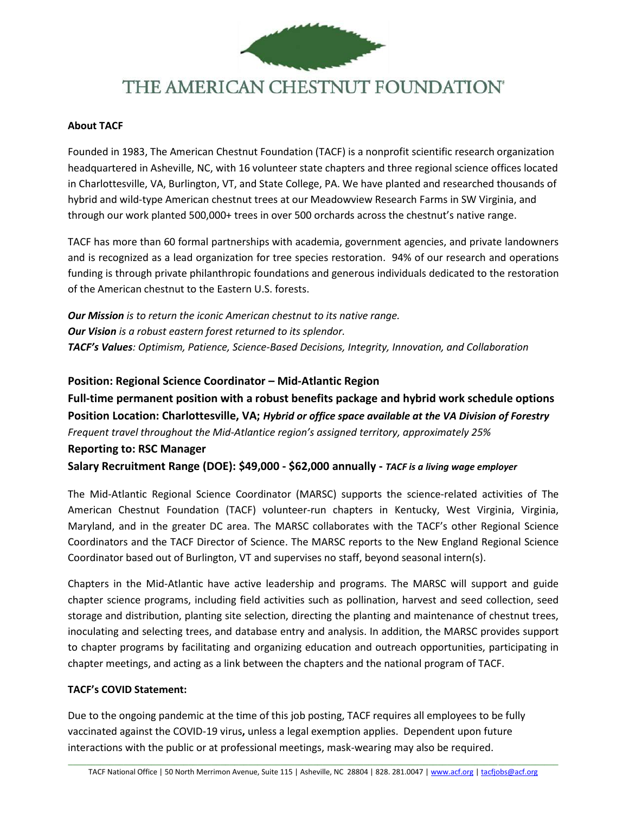

# THE AMERICAN CHESTNUT FOUNDATION®

### **About TACF**

Founded in 1983, The American Chestnut Foundation (TACF) is a nonprofit scientific research organization headquartered in Asheville, NC, with 16 volunteer state chapters and three regional science offices located in Charlottesville, VA, Burlington, VT, and State College, PA. We have planted and researched thousands of hybrid and wild-type American chestnut trees at our Meadowview Research Farms in SW Virginia, and through our work planted 500,000+ trees in over 500 orchards across the chestnut's native range.

TACF has more than 60 formal partnerships with academia, government agencies, and private landowners and is recognized as a lead organization for tree species restoration. 94% of our research and operations funding is through private philanthropic foundations and generous individuals dedicated to the restoration of the American chestnut to the Eastern U.S. forests.

*Our Mission is to return the iconic American chestnut to its native range. Our Vision is a robust eastern forest returned to its splendor. TACF's Values: Optimism, Patience, Science-Based Decisions, Integrity, Innovation, and Collaboration*

**Position: Regional Science Coordinator – Mid-Atlantic Region Full-time permanent position with a robust benefits package and hybrid work schedule options Position Location: Charlottesville, VA;** *Hybrid or office space available at the VA Division of Forestry Frequent travel throughout the Mid-Atlantice region's assigned territory, approximately 25%* **Reporting to: RSC Manager Salary Recruitment Range (DOE): \$49,000 - \$62,000 annually -** *TACF is a living wage employer*

The Mid-Atlantic Regional Science Coordinator (MARSC) supports the science-related activities of The American Chestnut Foundation (TACF) volunteer-run chapters in Kentucky, West Virginia, Virginia, Maryland, and in the greater DC area. The MARSC collaborates with the TACF's other Regional Science Coordinators and the TACF Director of Science. The MARSC reports to the New England Regional Science Coordinator based out of Burlington, VT and supervises no staff, beyond seasonal intern(s).

Chapters in the Mid-Atlantic have active leadership and programs. The MARSC will support and guide chapter science programs, including field activities such as pollination, harvest and seed collection, seed storage and distribution, planting site selection, directing the planting and maintenance of chestnut trees, inoculating and selecting trees, and database entry and analysis. In addition, the MARSC provides support to chapter programs by facilitating and organizing education and outreach opportunities, participating in chapter meetings, and acting as a link between the chapters and the national program of TACF.

### **TACF's COVID Statement:**

Due to the ongoing pandemic at the time of this job posting, TACF requires all employees to be fully vaccinated against the COVID-19 virus**,** unless a legal exemption applies. Dependent upon future interactions with the public or at professional meetings, mask-wearing may also be required.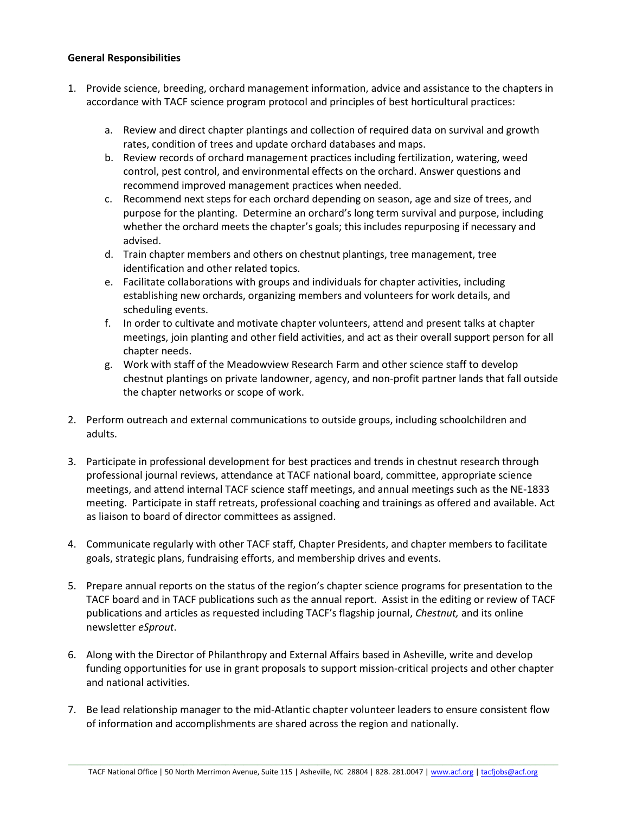#### **General Responsibilities**

- 1. Provide science, breeding, orchard management information, advice and assistance to the chapters in accordance with TACF science program protocol and principles of best horticultural practices:
	- a. Review and direct chapter plantings and collection of required data on survival and growth rates, condition of trees and update orchard databases and maps.
	- b. Review records of orchard management practices including fertilization, watering, weed control, pest control, and environmental effects on the orchard. Answer questions and recommend improved management practices when needed.
	- c. Recommend next steps for each orchard depending on season, age and size of trees, and purpose for the planting. Determine an orchard's long term survival and purpose, including whether the orchard meets the chapter's goals; this includes repurposing if necessary and advised.
	- d. Train chapter members and others on chestnut plantings, tree management, tree identification and other related topics.
	- e. Facilitate collaborations with groups and individuals for chapter activities, including establishing new orchards, organizing members and volunteers for work details, and scheduling events.
	- f. In order to cultivate and motivate chapter volunteers, attend and present talks at chapter meetings, join planting and other field activities, and act as their overall support person for all chapter needs.
	- g. Work with staff of the Meadowview Research Farm and other science staff to develop chestnut plantings on private landowner, agency, and non-profit partner lands that fall outside the chapter networks or scope of work.
- 2. Perform outreach and external communications to outside groups, including schoolchildren and adults.
- 3. Participate in professional development for best practices and trends in chestnut research through professional journal reviews, attendance at TACF national board, committee, appropriate science meetings, and attend internal TACF science staff meetings, and annual meetings such as the NE-1833 meeting. Participate in staff retreats, professional coaching and trainings as offered and available. Act as liaison to board of director committees as assigned.
- 4. Communicate regularly with other TACF staff, Chapter Presidents, and chapter members to facilitate goals, strategic plans, fundraising efforts, and membership drives and events.
- 5. Prepare annual reports on the status of the region's chapter science programs for presentation to the TACF board and in TACF publications such as the annual report. Assist in the editing or review of TACF publications and articles as requested including TACF's flagship journal, *Chestnut,* and its online newsletter *eSprout*.
- 6. Along with the Director of Philanthropy and External Affairs based in Asheville, write and develop funding opportunities for use in grant proposals to support mission-critical projects and other chapter and national activities.
- 7. Be lead relationship manager to the mid-Atlantic chapter volunteer leaders to ensure consistent flow of information and accomplishments are shared across the region and nationally.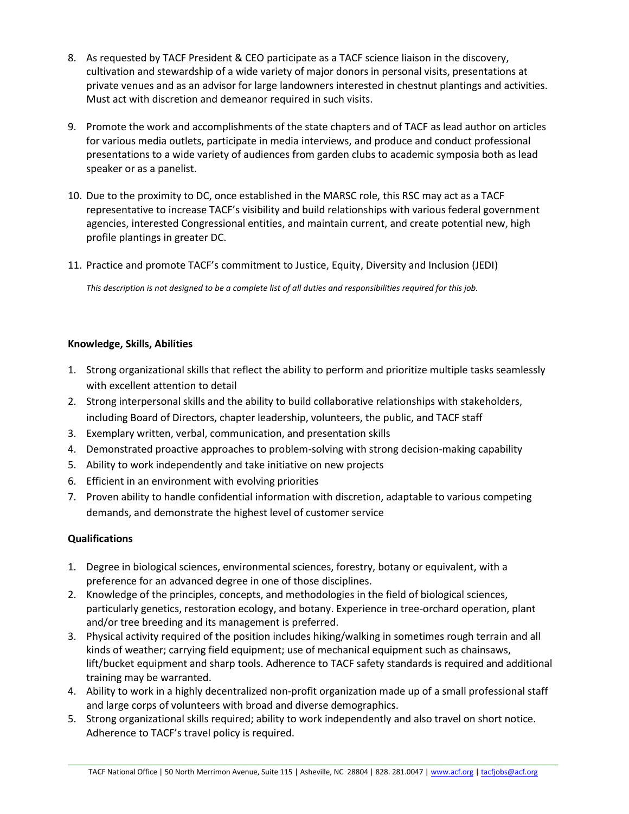- 8. As requested by TACF President & CEO participate as a TACF science liaison in the discovery, cultivation and stewardship of a wide variety of major donors in personal visits, presentations at private venues and as an advisor for large landowners interested in chestnut plantings and activities. Must act with discretion and demeanor required in such visits.
- 9. Promote the work and accomplishments of the state chapters and of TACF as lead author on articles for various media outlets, participate in media interviews, and produce and conduct professional presentations to a wide variety of audiences from garden clubs to academic symposia both as lead speaker or as a panelist.
- 10. Due to the proximity to DC, once established in the MARSC role, this RSC may act as a TACF representative to increase TACF's visibility and build relationships with various federal government agencies, interested Congressional entities, and maintain current, and create potential new, high profile plantings in greater DC.
- 11. Practice and promote TACF's commitment to Justice, Equity, Diversity and Inclusion (JEDI)

*This description is not designed to be a complete list of all duties and responsibilities required for this job.*

# **Knowledge, Skills, Abilities**

- 1. Strong organizational skills that reflect the ability to perform and prioritize multiple tasks seamlessly with excellent attention to detail
- 2. Strong interpersonal skills and the ability to build collaborative relationships with stakeholders, including Board of Directors, chapter leadership, volunteers, the public, and TACF staff
- 3. Exemplary written, verbal, communication, and presentation skills
- 4. Demonstrated proactive approaches to problem-solving with strong decision-making capability
- 5. Ability to work independently and take initiative on new projects
- 6. Efficient in an environment with evolving priorities
- 7. Proven ability to handle confidential information with discretion, adaptable to various competing demands, and demonstrate the highest level of customer service

# **Qualifications**

- 1. Degree in biological sciences, environmental sciences, forestry, botany or equivalent, with a preference for an advanced degree in one of those disciplines.
- 2. Knowledge of the principles, concepts, and methodologies in the field of biological sciences, particularly genetics, restoration ecology, and botany. Experience in tree-orchard operation, plant and/or tree breeding and its management is preferred.
- 3. Physical activity required of the position includes hiking/walking in sometimes rough terrain and all kinds of weather; carrying field equipment; use of mechanical equipment such as chainsaws, lift/bucket equipment and sharp tools. Adherence to TACF safety standards is required and additional training may be warranted.
- 4. Ability to work in a highly decentralized non-profit organization made up of a small professional staff and large corps of volunteers with broad and diverse demographics.
- 5. Strong organizational skills required; ability to work independently and also travel on short notice. Adherence to TACF's travel policy is required.